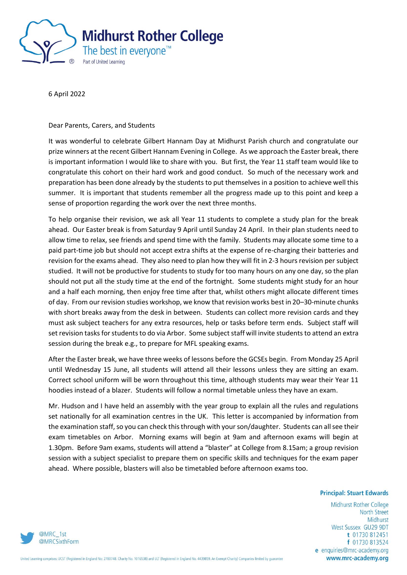

6 April 2022

Dear Parents, Carers, and Students

It was wonderful to celebrate Gilbert Hannam Day at Midhurst Parish church and congratulate our prize winners at the recent Gilbert Hannam Evening in College. As we approach the Easter break, there is important information I would like to share with you. But first, the Year 11 staff team would like to congratulate this cohort on their hard work and good conduct. So much of the necessary work and preparation has been done already by the students to put themselves in a position to achieve well this summer. It is important that students remember all the progress made up to this point and keep a sense of proportion regarding the work over the next three months.

To help organise their revision, we ask all Year 11 students to complete a study plan for the break ahead. Our Easter break is from Saturday 9 April until Sunday 24 April. In their plan students need to allow time to relax, see friends and spend time with the family. Students may allocate some time to a paid part-time job but should not accept extra shifts at the expense of re-charging their batteries and revision for the exams ahead. They also need to plan how they will fit in 2-3 hours revision per subject studied. It will not be productive for students to study for too many hours on any one day, so the plan should not put all the study time at the end of the fortnight. Some students might study for an hour and a half each morning, then enjoy free time after that, whilst others might allocate different times of day. From our revision studies workshop, we know that revision works best in 20–30-minute chunks with short breaks away from the desk in between. Students can collect more revision cards and they must ask subject teachers for any extra resources, help or tasks before term ends. Subject staff will set revision tasks for students to do via Arbor. Some subject staff will invite students to attend an extra session during the break e.g., to prepare for MFL speaking exams.

After the Easter break, we have three weeks of lessons before the GCSEs begin. From Monday 25 April until Wednesday 15 June, all students will attend all their lessons unless they are sitting an exam. Correct school uniform will be worn throughout this time, although students may wear their Year 11 hoodies instead of a blazer. Students will follow a normal timetable unless they have an exam.

Mr. Hudson and I have held an assembly with the year group to explain all the rules and regulations set nationally for all examination centres in the UK. This letter is accompanied by information from the examination staff, so you can check this through with your son/daughter. Students can all see their exam timetables on Arbor. Morning exams will begin at 9am and afternoon exams will begin at 1.30pm. Before 9am exams, students will attend a "blaster" at College from 8.15am; a group revision session with a subject specialist to prepare them on specific skills and techniques for the exam paper ahead. Where possible, blasters will also be timetabled before afternoon exams too.

## **Principal: Stuart Edwards**

Midhurst Rother College **North Street** Midhurst West Sussex GU29 9DT t 01730 812451 f 01730 813524 e enquiries@mrc-academy.org www.mrc-academy.org